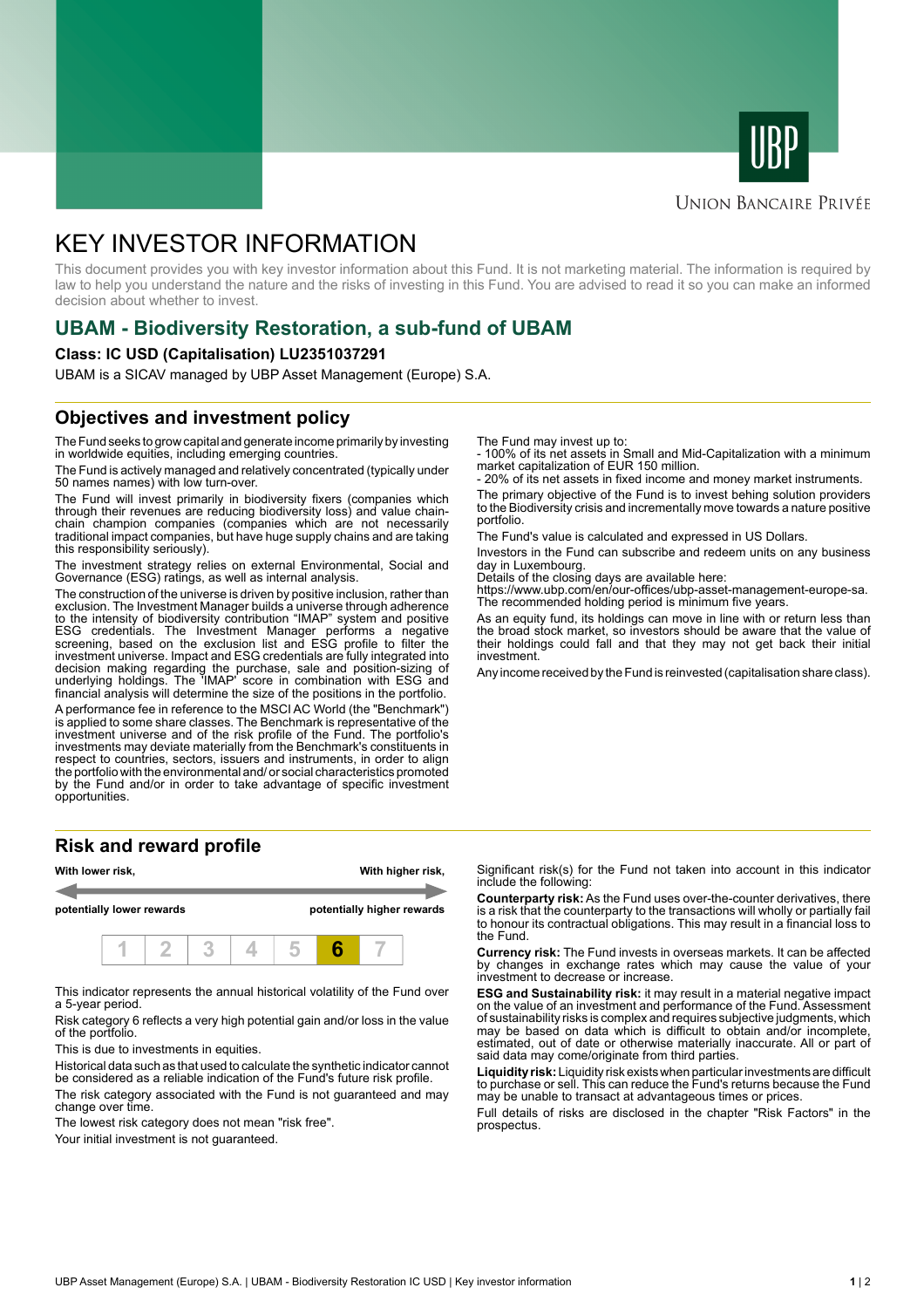



#### **UNION BANCAIRE PRIVÉE**

# KEY INVESTOR INFORMATION

This document provides you with key investor information about this Fund. It is not marketing material. The information is required by law to help you understand the nature and the risks of investing in this Fund. You are advised to read it so you can make an informed decision about whether to invest.

## **UBAM - Biodiversity Restoration, a sub-fund of UBAM**

#### **Class: IC USD (Capitalisation) LU2351037291**

UBAM is a SICAV managed by UBP Asset Management (Europe) S.A.

### **Objectives and investment policy**

The Fund seeks to grow capital and generate income primarily by investing in worldwide equities, including emerging countries.

The Fund is actively managed and relatively concentrated (typically under 50 names names) with low turn-over.

The Fund will invest primarily in biodiversity fixers (companies which through their revenues are reducing biodiversity loss) and value chainchain champion companies (companies which are not necessarily traditional impact companies, but have huge supply chains and are taking this responsibility seriously).

The investment strategy relies on external Environmental, Social and Governance (ESG) ratings, as well as internal analysis.

The construction of the universe is driven by positive inclusion, rather than exclusion. The Investment Manager builds a universe through adherence to the intensity of biodiversity contribution "IMAP" system and positive ESG credentials. The Investment Manager performs a negative screening, based on the exclusion list and ESG profile to filter the investment universe. Impact and ESG credentials are fully integrated into decision making regarding the purchase, sale and position-sizing of underlying holdings. The 'IMAP' score in combination with ESG and financial analysis will determine the size of the positions in the portfolio.

A performance fee in reference to the MSCI AC World (the "Benchmark") is applied to some share classes. The Benchmark is representative of the investment universe and of the risk profile of the Fund. The portfolio's investments may deviate materially from the Benchmark's constituents in respect to countries, sectors, issuers and instruments, in order to align the portfolio with the environmental and/ or social characteristics promoted by the Fund and/or in order to take advantage of specific investment opportunities.

#### **Risk and reward profile**



This indicator represents the annual historical volatility of the Fund over a 5-year period.

Risk category 6 reflects a very high potential gain and/or loss in the value of the portfolio.

This is due to investments in equities.

Historical data such as that used to calculate the synthetic indicator cannot be considered as a reliable indication of the Fund's future risk profile.

The risk category associated with the Fund is not guaranteed and may change over time.

The lowest risk category does not mean "risk free".

Your initial investment is not guaranteed.

The Fund may invest up to:

- 100% of its net assets in Small and Mid-Capitalization with a minimum market capitalization of EUR 150 million.

20% of its net assets in fixed income and money market instruments.

The primary objective of the Fund is to invest behing solution providers to the Biodiversity crisis and incrementally move towards a nature positive portfolio.

The Fund's value is calculated and expressed in US Dollars.

Investors in the Fund can subscribe and redeem units on any business day in Luxembourg.

Details of the closing days are available here:

https://www.ubp.com/en/our-offices/ubp-asset-management-europe-sa. The recommended holding period is minimum five years.

As an equity fund, its holdings can move in line with or return less than the broad stock market, so investors should be aware that the value of their holdings could fall and that they may not get back their initial investment.

Any income received by the Fund is reinvested (capitalisation share class).

Significant risk(s) for the Fund not taken into account in this indicator include the following:

**Counterparty risk:** As the Fund uses over-the-counter derivatives, there is a risk that the counterparty to the transactions will wholly or partially fail to honour its contractual obligations. This may result in a financial loss to the Fund.

**Currency risk:** The Fund invests in overseas markets. It can be affected by changes in exchange rates which may cause the value of your investment to decrease or increase.

**ESG and Sustainability risk:** it may result in a material negative impact on the value of an investment and performance of the Fund. Assessment of sustainability risks is complex and requires subjective judgments, which may be based on data which is difficult to obtain and/or incomplete, estimated, out of date or otherwise materially inaccurate. All or part of said data may come/originate from third parties.

**Liquidity risk:** Liquidity risk exists when particular investments are difficult to purchase or sell. This can reduce the Fund's returns because the Fund may be unable to transact at advantageous times or prices.

Full details of risks are disclosed in the chapter "Risk Factors" in the prospectus.